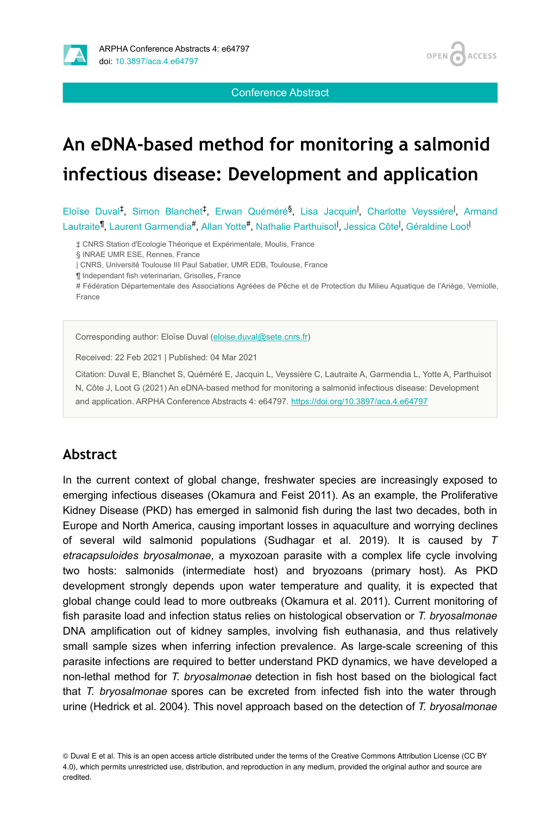

Conference Abstract

**OPEN** 

**ACCESS** 

# **An eDNA-based method for monitoring a salmonid infectious disease: Development and application**

Eloïse Duval<sup>‡</sup>, Simon Blanchet<sup>‡</sup>, Erwan Quéméré<sup>§</sup>, Lisa Jacquin<sup>I</sup>, Charlotte Veyssière<sup>I</sup>, Armand Lautraite<sup>¶</sup>, Laurent Garmendia<sup>#</sup>, Allan Yotte<sup>#</sup>, Nathalie Parthuisot<sup>I</sup>, Jessica Côte<sup>|</sup>, Géraldine Loot<sup>|</sup>

‡ CNRS Station d'Ecologie Théorique et Expérimentale, Moulis, France

§ INRAE UMR ESE, Rennes, France

| CNRS, Université Toulouse III Paul Sabatier, UMR EDB, Toulouse, France

¶ Independant fish veterinarian, Grisolles, France

# Fédération Départementale des Associations Agréées de Pêche et de Protection du Milieu Aquatique de l'Ariège, Verniolle, France

Corresponding author: Eloïse Duval [\(eloise.duval@sete.cnrs.fr\)](mailto:eloise.duval@sete.cnrs.fr)

Received: 22 Feb 2021 | Published: 04 Mar 2021

Citation: Duval E, Blanchet S, Quéméré E, Jacquin L, Veyssière C, Lautraite A, Garmendia L, Yotte A, Parthuisot N, Côte J, Loot G (2021) An eDNA-based method for monitoring a salmonid infectious disease: Development and application. ARPHA Conference Abstracts 4: e64797. <https://doi.org/10.3897/aca.4.e64797>

#### **Abstract**

In the current context of global change, freshwater species are increasingly exposed to emerging infectious diseases (Okamura and Feist 2011). As an example, the Proliferative Kidney Disease (PKD) has emerged in salmonid fish during the last two decades, both in Europe and North America, causing important losses in aquaculture and worrying declines of several wild salmonid populations (Sudhagar et al. 2019). It is caused by *T etracapsuloides bryosalmonae*, a myxozoan parasite with a complex life cycle involving two hosts: salmonids (intermediate host) and bryozoans (primary host). As PKD development strongly depends upon water temperature and quality, it is expected that global change could lead to more outbreaks (Okamura et al. 2011). Current monitoring of fish parasite load and infection status relies on histological observation or *T. bryosalmonae* DNA amplification out of kidney samples, involving fish euthanasia, and thus relatively small sample sizes when inferring infection prevalence. As large-scale screening of this parasite infections are required to better understand PKD dynamics, we have developed a non-lethal method for *T. bryosalmonae* detection in fish host based on the biological fact that *T. bryosalmonae* spores can be excreted from infected fish into the water through urine (Hedrick et al. 2004). This novel approach based on the detection of *T. bryosalmonae*

© Duval E et al. This is an open access article distributed under the terms of the Creative Commons Attribution License (CC BY 4.0), which permits unrestricted use, distribution, and reproduction in any medium, provided the original author and source are credited.